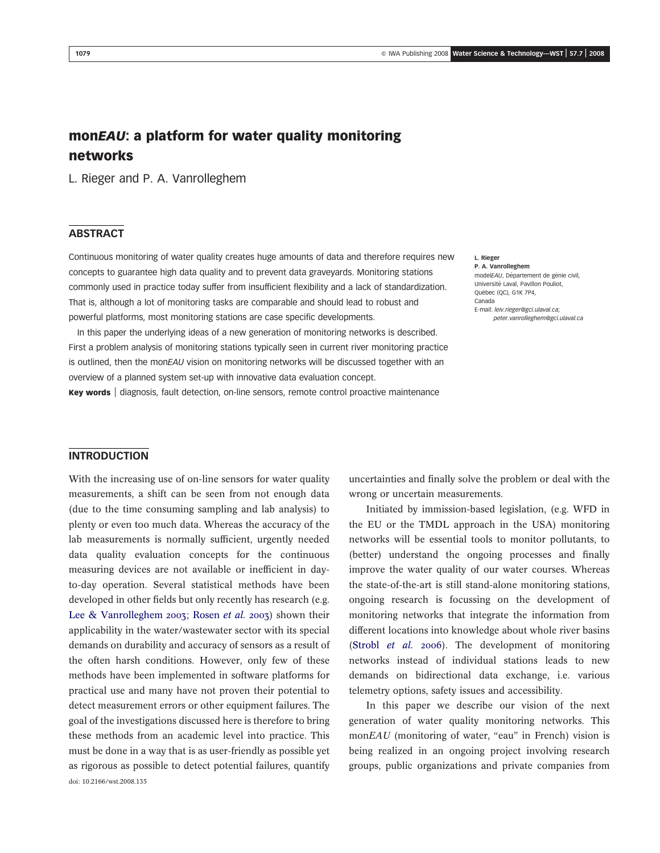# monEAU: a platform for water quality monitoring networks

L. Rieger and P. A. Vanrolleghem

# **ABSTRACT**

Continuous monitoring of water quality creates huge amounts of data and therefore requires new concepts to guarantee high data quality and to prevent data graveyards. Monitoring stations commonly used in practice today suffer from insufficient flexibility and a lack of standardization. That is, although a lot of monitoring tasks are comparable and should lead to robust and powerful platforms, most monitoring stations are case specific developments.

In this paper the underlying ideas of a new generation of monitoring networks is described. First a problem analysis of monitoring stations typically seen in current river monitoring practice is outlined, then the monEAU vision on monitoring networks will be discussed together with an overview of a planned system set-up with innovative data evaluation concept.

Key words | diagnosis, fault detection, on-line sensors, remote control proactive maintenance

#### L. Rieger P. A. Vanrolleghem modelEAU, Département de génie civil,

Université Laval, Pavillon Pouliot, Québec (QC), G1K 7P4, Canada E-mail: leiv.rieger@gci.ulaval.ca;

peter.vanrolleghem@gci.ulaval.ca

# INTRODUCTION

With the increasing use of on-line sensors for water quality measurements, a shift can be seen from not enough data (due to the time consuming sampling and lab analysis) to plenty or even too much data. Whereas the accuracy of the lab measurements is normally sufficient, urgently needed data quality evaluation concepts for the continuous measuring devices are not available or inefficient in dayto-day operation. Several statistical methods have been developed in other fields but only recently has research (e.g. [Lee & Vanrolleghem 2003](#page-7-0); [Rosen](#page-7-0) et al. 2003) shown their applicability in the water/wastewater sector with its special demands on durability and accuracy of sensors as a result of the often harsh conditions. However, only few of these methods have been implemented in software platforms for practical use and many have not proven their potential to detect measurement errors or other equipment failures. The goal of the investigations discussed here is therefore to bring these methods from an academic level into practice. This must be done in a way that is as user-friendly as possible yet as rigorous as possible to detect potential failures, quantify doi: 10.2166/wst.2008.135

uncertainties and finally solve the problem or deal with the wrong or uncertain measurements.

Initiated by immission-based legislation, (e.g. WFD in the EU or the TMDL approach in the USA) monitoring networks will be essential tools to monitor pollutants, to (better) understand the ongoing processes and finally improve the water quality of our water courses. Whereas the state-of-the-art is still stand-alone monitoring stations, ongoing research is focussing on the development of monitoring networks that integrate the information from different locations into knowledge about whole river basins ([Strobl](#page-7-0) et al. 2006). The development of monitoring networks instead of individual stations leads to new demands on bidirectional data exchange, i.e. various telemetry options, safety issues and accessibility.

In this paper we describe our vision of the next generation of water quality monitoring networks. This monEAU (monitoring of water, "eau" in French) vision is being realized in an ongoing project involving research groups, public organizations and private companies from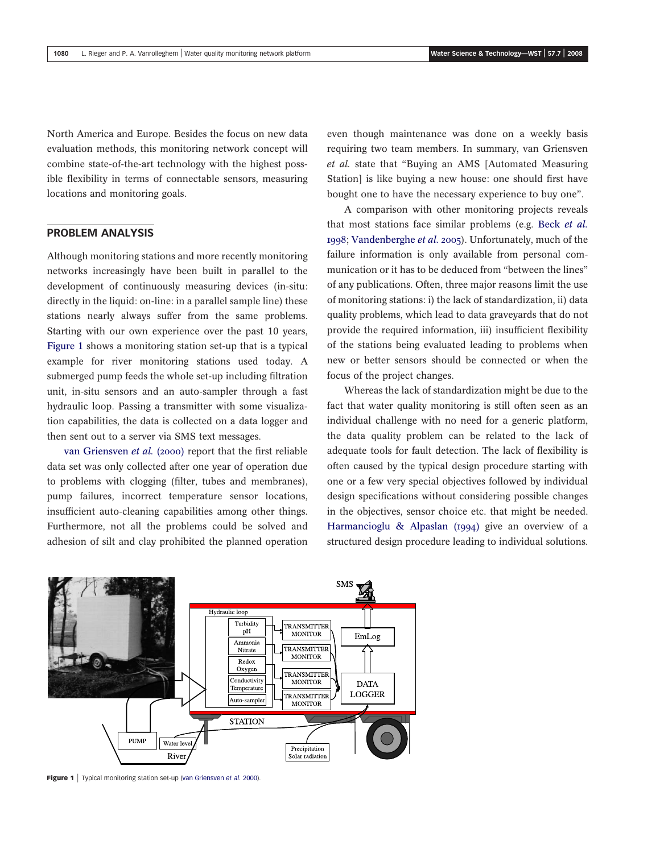North America and Europe. Besides the focus on new data evaluation methods, this monitoring network concept will combine state-of-the-art technology with the highest possible flexibility in terms of connectable sensors, measuring locations and monitoring goals.

### PROBLEM ANALYSIS

Although monitoring stations and more recently monitoring networks increasingly have been built in parallel to the development of continuously measuring devices (in-situ: directly in the liquid: on-line: in a parallel sample line) these stations nearly always suffer from the same problems. Starting with our own experience over the past 10 years, Figure 1 shows a monitoring station set-up that is a typical example for river monitoring stations used today. A submerged pump feeds the whole set-up including filtration unit, in-situ sensors and an auto-sampler through a fast hydraulic loop. Passing a transmitter with some visualization capabilities, the data is collected on a data logger and then sent out to a server via SMS text messages.

[van Griensven](#page-6-0) et al. (2000) report that the first reliable data set was only collected after one year of operation due to problems with clogging (filter, tubes and membranes), pump failures, incorrect temperature sensor locations, insufficient auto-cleaning capabilities among other things. Furthermore, not all the problems could be solved and adhesion of silt and clay prohibited the planned operation

even though maintenance was done on a weekly basis requiring two team members. In summary, van Griensven et al. state that "Buying an AMS [Automated Measuring Station] is like buying a new house: one should first have bought one to have the necessary experience to buy one".

A comparison with other monitoring projects reveals that most stations face similar problems (e.g. Beck [et al.](#page-7-0) [1998](#page-7-0); [Vandenberghe](#page-6-0) et al. 2005). Unfortunately, much of the failure information is only available from personal communication or it has to be deduced from "between the lines" of any publications. Often, three major reasons limit the use of monitoring stations: i) the lack of standardization, ii) data quality problems, which lead to data graveyards that do not provide the required information, iii) insufficient flexibility of the stations being evaluated leading to problems when new or better sensors should be connected or when the focus of the project changes.

Whereas the lack of standardization might be due to the fact that water quality monitoring is still often seen as an individual challenge with no need for a generic platform, the data quality problem can be related to the lack of adequate tools for fault detection. The lack of flexibility is often caused by the typical design procedure starting with one or a few very special objectives followed by individual design specifications without considering possible changes in the objectives, sensor choice etc. that might be needed. [Harmancioglu & Alpaslan \(1994\)](#page-7-0) give an overview of a structured design procedure leading to individual solutions.



Figure 1 | Typical monitoring station set-up [\(van Griensven](#page-6-0) et al. 2000).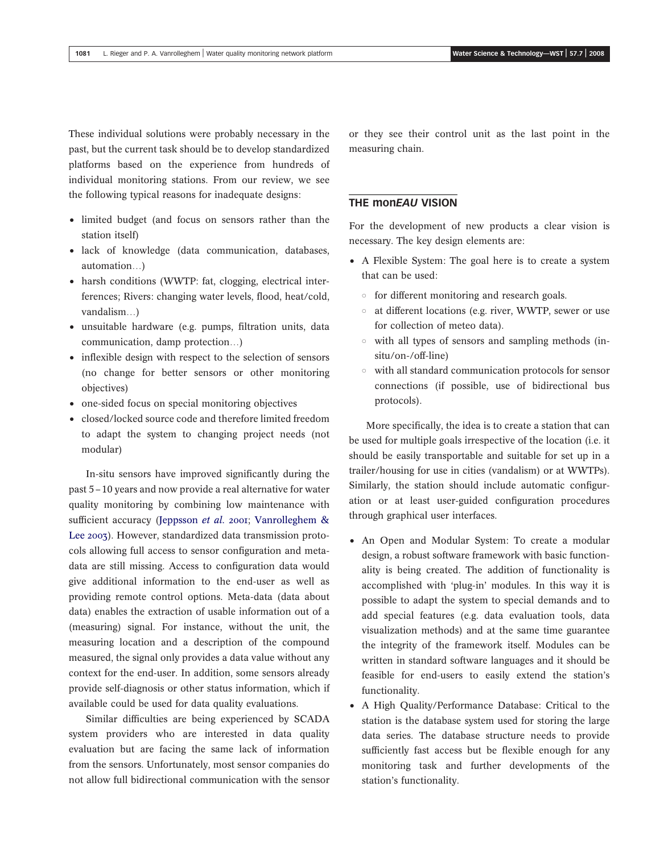These individual solutions were probably necessary in the past, but the current task should be to develop standardized platforms based on the experience from hundreds of individual monitoring stations. From our review, we see the following typical reasons for inadequate designs:

- limited budget (and focus on sensors rather than the station itself)
- lack of knowledge (data communication, databases, automation…)
- harsh conditions (WWTP: fat, clogging, electrical interferences; Rivers: changing water levels, flood, heat/cold, vandalism…)
- unsuitable hardware (e.g. pumps, filtration units, data communication, damp protection…)
- inflexible design with respect to the selection of sensors (no change for better sensors or other monitoring objectives)
- one-sided focus on special monitoring objectives
- closed/locked source code and therefore limited freedom to adapt the system to changing project needs (not modular)

In-situ sensors have improved significantly during the past 5–10 years and now provide a real alternative for water quality monitoring by combining low maintenance with sufficient accuracy ([Jeppsson](#page-7-0) et al. 2001; [Vanrolleghem &](#page-6-0) [Lee 2003](#page-6-0)). However, standardized data transmission protocols allowing full access to sensor configuration and metadata are still missing. Access to configuration data would give additional information to the end-user as well as providing remote control options. Meta-data (data about data) enables the extraction of usable information out of a (measuring) signal. For instance, without the unit, the measuring location and a description of the compound measured, the signal only provides a data value without any context for the end-user. In addition, some sensors already provide self-diagnosis or other status information, which if available could be used for data quality evaluations.

Similar difficulties are being experienced by SCADA system providers who are interested in data quality evaluation but are facing the same lack of information from the sensors. Unfortunately, most sensor companies do not allow full bidirectional communication with the sensor

or they see their control unit as the last point in the measuring chain.

## **THE MONEAU VISION**

For the development of new products a clear vision is necessary. The key design elements are:

- † A Flexible System: The goal here is to create a system that can be used:
	- $\circ$  for different monitoring and research goals.
	- $\circ$  at different locations (e.g. river, WWTP, sewer or use for collection of meteo data).
	- $\circ$  with all types of sensors and sampling methods (insitu/on-/off-line)
	- $\circ$  with all standard communication protocols for sensor connections (if possible, use of bidirectional bus protocols).

More specifically, the idea is to create a station that can be used for multiple goals irrespective of the location (i.e. it should be easily transportable and suitable for set up in a trailer/housing for use in cities (vandalism) or at WWTPs). Similarly, the station should include automatic configuration or at least user-guided configuration procedures through graphical user interfaces.

- An Open and Modular System: To create a modular design, a robust software framework with basic functionality is being created. The addition of functionality is accomplished with 'plug-in' modules. In this way it is possible to adapt the system to special demands and to add special features (e.g. data evaluation tools, data visualization methods) and at the same time guarantee the integrity of the framework itself. Modules can be written in standard software languages and it should be feasible for end-users to easily extend the station's functionality.
- A High Quality/Performance Database: Critical to the station is the database system used for storing the large data series. The database structure needs to provide sufficiently fast access but be flexible enough for any monitoring task and further developments of the station's functionality.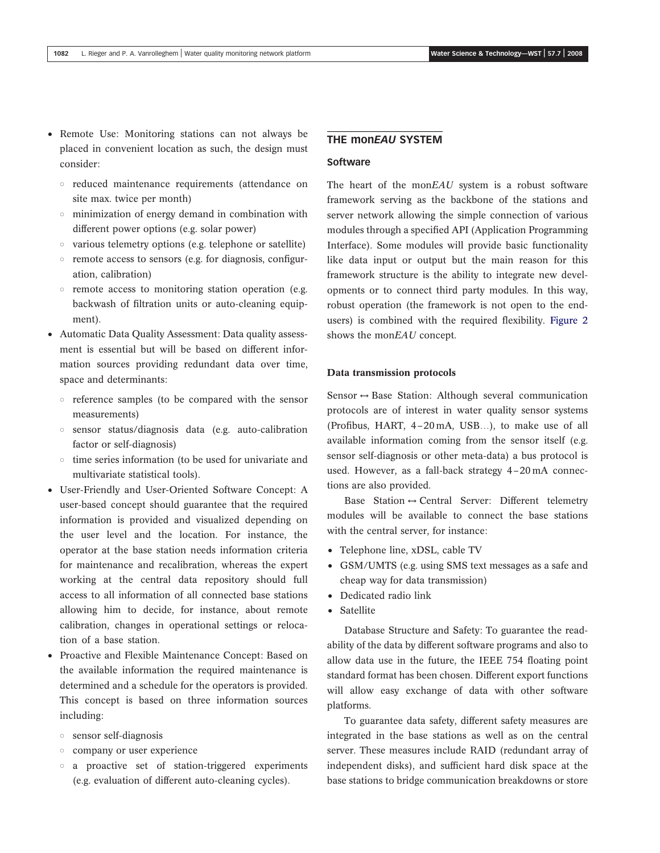- Remote Use: Monitoring stations can not always be placed in convenient location as such, the design must consider:
	- $\circ$  reduced maintenance requirements (attendance on site max. twice per month)
	- $\circ$  minimization of energy demand in combination with different power options (e.g. solar power)
	- $\circ$  various telemetry options (e.g. telephone or satellite)
	- $\circ$  remote access to sensors (e.g. for diagnosis, configuration, calibration)
	- $\circ$  remote access to monitoring station operation (e.g. backwash of filtration units or auto-cleaning equipment).
- Automatic Data Quality Assessment: Data quality assessment is essential but will be based on different information sources providing redundant data over time, space and determinants:
	- $\circ$  reference samples (to be compared with the sensor measurements)
	- $\circ$  sensor status/diagnosis data (e.g. auto-calibration factor or self-diagnosis)
	- $\circ$  time series information (to be used for univariate and multivariate statistical tools).
- † User-Friendly and User-Oriented Software Concept: A user-based concept should guarantee that the required information is provided and visualized depending on the user level and the location. For instance, the operator at the base station needs information criteria for maintenance and recalibration, whereas the expert working at the central data repository should full access to all information of all connected base stations allowing him to decide, for instance, about remote calibration, changes in operational settings or relocation of a base station.
- † Proactive and Flexible Maintenance Concept: Based on the available information the required maintenance is determined and a schedule for the operators is provided. This concept is based on three information sources including:
	- $\circ$  sensor self-diagnosis
	- company or user experience
	- $\circ$  a proactive set of station-triggered experiments (e.g. evaluation of different auto-cleaning cycles).

### THE **monEAU SYSTEM**

#### **Software**

The heart of the monEAU system is a robust software framework serving as the backbone of the stations and server network allowing the simple connection of various modules through a specified API (Application Programming Interface). Some modules will provide basic functionality like data input or output but the main reason for this framework structure is the ability to integrate new developments or to connect third party modules. In this way, robust operation (the framework is not open to the endusers) is combined with the required flexibility. [Figure 2](#page-4-0) shows the monEAU concept.

### Data transmission protocols

Sensor  $\leftrightarrow$  Base Station: Although several communication protocols are of interest in water quality sensor systems (Profibus, HART, 4–20 mA, USB…), to make use of all available information coming from the sensor itself (e.g. sensor self-diagnosis or other meta-data) a bus protocol is used. However, as a fall-back strategy 4–20 mA connections are also provided.

Base Station  $\leftrightarrow$  Central Server: Different telemetry modules will be available to connect the base stations with the central server, for instance:

- Telephone line, xDSL, cable TV
- GSM/UMTS (e.g. using SMS text messages as a safe and cheap way for data transmission)
- Dedicated radio link
- Satellite

Database Structure and Safety: To guarantee the readability of the data by different software programs and also to allow data use in the future, the IEEE 754 floating point standard format has been chosen. Different export functions will allow easy exchange of data with other software platforms.

To guarantee data safety, different safety measures are integrated in the base stations as well as on the central server. These measures include RAID (redundant array of independent disks), and sufficient hard disk space at the base stations to bridge communication breakdowns or store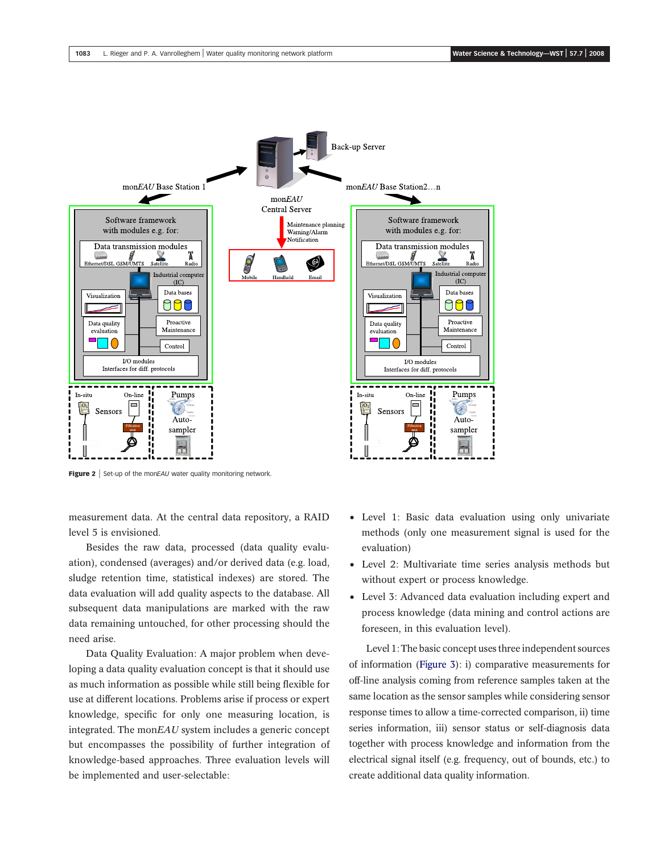<span id="page-4-0"></span>

Figure 2 | Set-up of the monEAU water quality monitoring network.

measurement data. At the central data repository, a RAID level 5 is envisioned.

Besides the raw data, processed (data quality evaluation), condensed (averages) and/or derived data (e.g. load, sludge retention time, statistical indexes) are stored. The data evaluation will add quality aspects to the database. All subsequent data manipulations are marked with the raw data remaining untouched, for other processing should the need arise.

Data Quality Evaluation: A major problem when developing a data quality evaluation concept is that it should use as much information as possible while still being flexible for use at different locations. Problems arise if process or expert knowledge, specific for only one measuring location, is integrated. The monEAU system includes a generic concept but encompasses the possibility of further integration of knowledge-based approaches. Three evaluation levels will be implemented and user-selectable:

- Level 1: Basic data evaluation using only univariate methods (only one measurement signal is used for the evaluation)
- † Level 2: Multivariate time series analysis methods but without expert or process knowledge.
- Level 3: Advanced data evaluation including expert and process knowledge (data mining and control actions are foreseen, in this evaluation level).

Level 1: The basic concept uses three independent sources of information [\(Figure 3\)](#page-5-0): i) comparative measurements for off-line analysis coming from reference samples taken at the same location as the sensor samples while considering sensor response times to allow a time-corrected comparison, ii) time series information, iii) sensor status or self-diagnosis data together with process knowledge and information from the electrical signal itself (e.g. frequency, out of bounds, etc.) to create additional data quality information.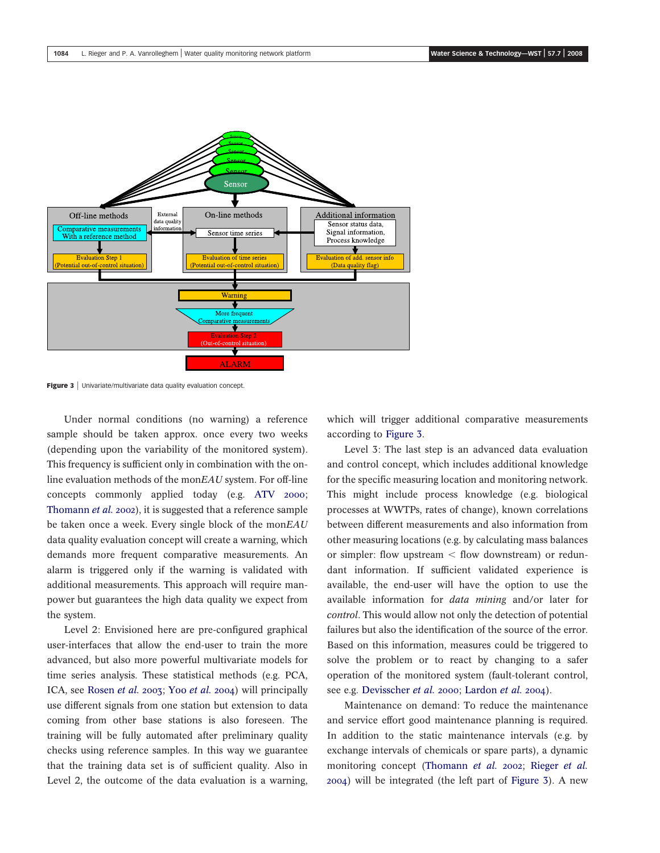<span id="page-5-0"></span>

Figure 3 | Univariate/multivariate data quality evaluation concept.

Under normal conditions (no warning) a reference sample should be taken approx. once every two weeks (depending upon the variability of the monitored system). This frequency is sufficient only in combination with the online evaluation methods of the monEAU system. For off-line concepts commonly applied today (e.g. [ATV 2000](#page-6-0); [Thomann](#page-6-0) et al. 2002), it is suggested that a reference sample be taken once a week. Every single block of the mon $E A U$ data quality evaluation concept will create a warning, which demands more frequent comparative measurements. An alarm is triggered only if the warning is validated with additional measurements. This approach will require manpower but guarantees the high data quality we expect from the system.

Level 2: Envisioned here are pre-configured graphical user-interfaces that allow the end-user to train the more advanced, but also more powerful multivariate models for time series analysis. These statistical methods (e.g. PCA, ICA, see [Rosen](#page-7-0) et al. 2003; Yoo [et al.](#page-6-0) 2004) will principally use different signals from one station but extension to data coming from other base stations is also foreseen. The training will be fully automated after preliminary quality checks using reference samples. In this way we guarantee that the training data set is of sufficient quality. Also in Level 2, the outcome of the data evaluation is a warning,

which will trigger additional comparative measurements according to Figure 3.

Level 3: The last step is an advanced data evaluation and control concept, which includes additional knowledge for the specific measuring location and monitoring network. This might include process knowledge (e.g. biological processes at WWTPs, rates of change), known correlations between different measurements and also information from other measuring locations (e.g. by calculating mass balances or simpler: flow upstream  $\lt$  flow downstream) or redundant information. If sufficient validated experience is available, the end-user will have the option to use the available information for data mining and/or later for control. This would allow not only the detection of potential failures but also the identification of the source of the error. Based on this information, measures could be triggered to solve the problem or to react by changing to a safer operation of the monitored system (fault-tolerant control, see e.g. [Devisscher](#page-7-0) *et al.* 2000; [Lardon](#page-7-0) *et al.* 2004).

Maintenance on demand: To reduce the maintenance and service effort good maintenance planning is required. In addition to the static maintenance intervals (e.g. by exchange intervals of chemicals or spare parts), a dynamic monitoring concept ([Thomann](#page-6-0) et al. 2002; [Rieger](#page-7-0) et al. [2004](#page-7-0)) will be integrated (the left part of Figure 3). A new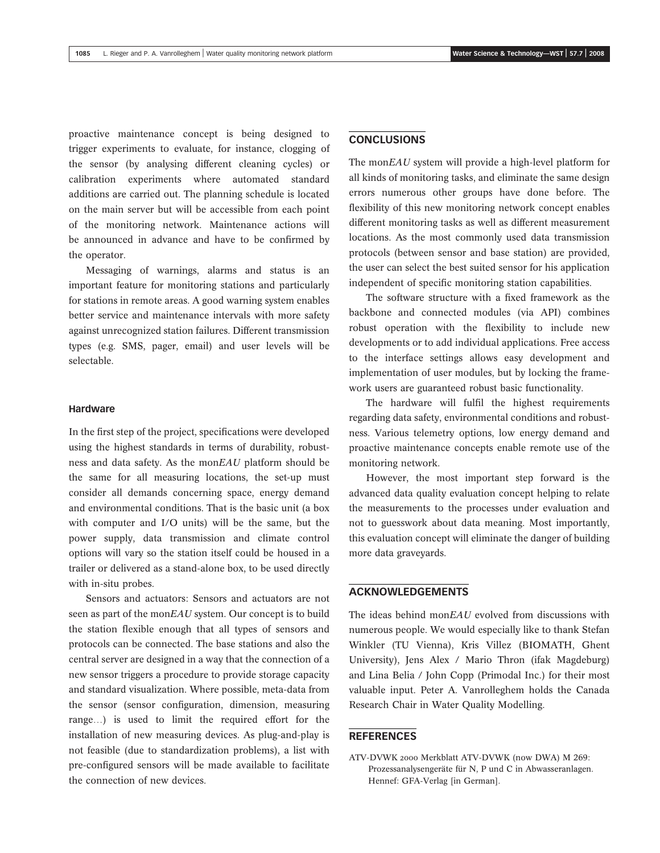<span id="page-6-0"></span>proactive maintenance concept is being designed to trigger experiments to evaluate, for instance, clogging of the sensor (by analysing different cleaning cycles) or calibration experiments where automated standard additions are carried out. The planning schedule is located on the main server but will be accessible from each point of the monitoring network. Maintenance actions will be announced in advance and have to be confirmed by the operator.

Messaging of warnings, alarms and status is an important feature for monitoring stations and particularly for stations in remote areas. A good warning system enables better service and maintenance intervals with more safety against unrecognized station failures. Different transmission types (e.g. SMS, pager, email) and user levels will be selectable.

#### **Hardware**

In the first step of the project, specifications were developed using the highest standards in terms of durability, robustness and data safety. As the monEAU platform should be the same for all measuring locations, the set-up must consider all demands concerning space, energy demand and environmental conditions. That is the basic unit (a box with computer and I/O units) will be the same, but the power supply, data transmission and climate control options will vary so the station itself could be housed in a trailer or delivered as a stand-alone box, to be used directly with in-situ probes.

Sensors and actuators: Sensors and actuators are not seen as part of the monEAU system. Our concept is to build the station flexible enough that all types of sensors and protocols can be connected. The base stations and also the central server are designed in a way that the connection of a new sensor triggers a procedure to provide storage capacity and standard visualization. Where possible, meta-data from the sensor (sensor configuration, dimension, measuring range…) is used to limit the required effort for the installation of new measuring devices. As plug-and-play is not feasible (due to standardization problems), a list with pre-configured sensors will be made available to facilitate the connection of new devices.

### CONCLUSIONS

The monEAU system will provide a high-level platform for all kinds of monitoring tasks, and eliminate the same design errors numerous other groups have done before. The flexibility of this new monitoring network concept enables different monitoring tasks as well as different measurement locations. As the most commonly used data transmission protocols (between sensor and base station) are provided, the user can select the best suited sensor for his application independent of specific monitoring station capabilities.

The software structure with a fixed framework as the backbone and connected modules (via API) combines robust operation with the flexibility to include new developments or to add individual applications. Free access to the interface settings allows easy development and implementation of user modules, but by locking the framework users are guaranteed robust basic functionality.

The hardware will fulfil the highest requirements regarding data safety, environmental conditions and robustness. Various telemetry options, low energy demand and proactive maintenance concepts enable remote use of the monitoring network.

However, the most important step forward is the advanced data quality evaluation concept helping to relate the measurements to the processes under evaluation and not to guesswork about data meaning. Most importantly, this evaluation concept will eliminate the danger of building more data graveyards.

# ACKNOWLEDGEMENTS

The ideas behind monEAU evolved from discussions with numerous people. We would especially like to thank Stefan Winkler (TU Vienna), Kris Villez (BIOMATH, Ghent University), Jens Alex / Mario Thron (ifak Magdeburg) and Lina Belia / John Copp (Primodal Inc.) for their most valuable input. Peter A. Vanrolleghem holds the Canada Research Chair in Water Quality Modelling.

#### REFERENCES

ATV-DVWK 2000 Merkblatt ATV-DVWK (now DWA) M 269: Prozessanalysengeräte für N, P und C in Abwasseranlagen. Hennef: GFA-Verlag [in German].